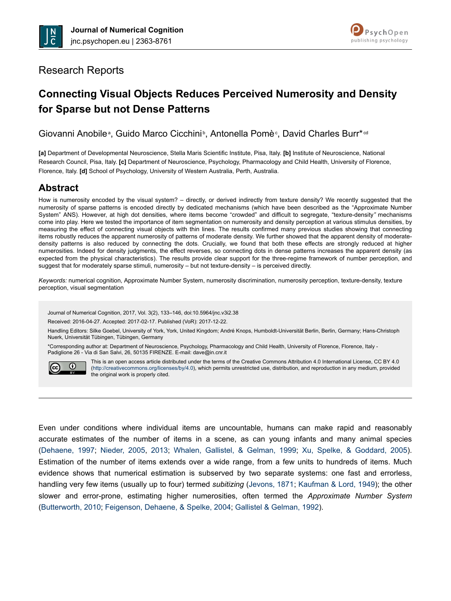



# Research Reports

# **Connecting Visual Objects Reduces Perceived Numerosity and Density for Sparse but not Dense Patterns**

Giovanni Anobile<sup>a</sup>, Guido Marco Cicchini<sup>b</sup>, Antonella Pomè<sup>c</sup>, David Charles Burr\*<sup>cd</sup>

**[a]** Department of Developmental Neuroscience, Stella Maris Scientific Institute, Pisa, Italy. **[b]** Institute of Neuroscience, National Research Council, Pisa, Italy. **[c]** Department of Neuroscience, Psychology, Pharmacology and Child Health, University of Florence, Florence, Italy. **[d]** School of Psychology, University of Western Australia, Perth, Australia.

# **Abstract**

How is numerosity encoded by the visual system? – directly, or derived indirectly from texture density? We recently suggested that the numerosity of sparse patterns is encoded directly by dedicated mechanisms (which have been described as the "Approximate Number System" ANS). However, at high dot densities, where items become "crowded" and difficult to segregate, "texture-density*"* mechanisms come into play. Here we tested the importance of item segmentation on numerosity and density perception at various stimulus densities, by measuring the effect of connecting visual objects with thin lines. The results confirmed many previous studies showing that connecting items robustly reduces the apparent numerosity of patterns of moderate density. We further showed that the apparent density of moderatedensity patterns is also reduced by connecting the dots. Crucially, we found that both these effects are strongly reduced at higher numerosities. Indeed for density judgments, the effect reverses, so connecting dots in dense patterns increases the apparent density (as expected from the physical characteristics). The results provide clear support for the three-regime framework of number perception, and suggest that for moderately sparse stimuli, numerosity – but not texture-density – is perceived directly.

*Keywords:* numerical cognition, Approximate Number System, numerosity discrimination, numerosity perception, texture-density, texture perception, visual segmentation

Journal of Numerical Cognition, 2017, Vol. 3(2), 133–146, doi:10.5964/jnc.v3i2.38

Received: 2016-04-27. Accepted: 2017-02-17. Published (VoR): 2017-12-22.

Handling Editors: Silke Goebel, University of York, York, United Kingdom; André Knops, Humboldt-Universität Berlin, Berlin, Germany; Hans-Christoph Nuerk, Universität Tübingen, Tübingen, Germany

\*Corresponding author at: Department of Neuroscience, Psychology, Pharmacology and Child Health, University of Florence, Florence, Italy - Padiglione 26 - Via di San Salvi, 26, 50135 FIRENZE. E-mail: dave@in.cnr.it



This is an open access article distributed under the terms of the Creative Commons Attribution 4.0 International License, CC BY 4.0 (<http://creativecommons.org/licenses/by/4.0>), which permits unrestricted use, distribution, and reproduction in any medium, provided the original work is properly cited.

Even under conditions where individual items are uncountable, humans can make rapid and reasonably accurate estimates of the number of items in a scene, as can young infants and many animal species [\(Dehaene, 1997;](#page-10-0) [Nieder, 2005,](#page-12-0) [2013;](#page-12-0) [Whalen, Gallistel, & Gelman, 1999](#page-13-0); [Xu, Spelke, & Goddard, 2005](#page-13-0)). Estimation of the number of items extends over a wide range, from a few units to hundreds of items. Much evidence shows that numerical estimation is subserved by two separate systems: one fast and errorless, handling very few items (usually up to four) termed *subitizing* ([Jevons, 1871](#page-11-0); [Kaufman & Lord, 1949](#page-11-0)); the other slower and error-prone, estimating higher numerosities, often termed the *Approximate Number System* [\(Butterworth, 2010](#page-10-0); [Feigenson, Dehaene, & Spelke, 2004](#page-10-0); [Gallistel & Gelman, 1992](#page-11-0)).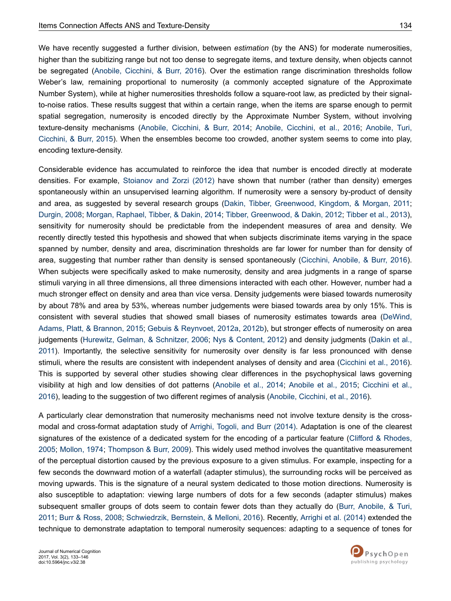We have recently suggested a further division, between *estimation* (by the ANS) for moderate numerosities, higher than the subitizing range but not too dense to segregate items, and texture density, when objects cannot be segregated ([Anobile, Cicchini, & Burr, 2016\)](#page-9-0). Over the estimation range discrimination thresholds follow Weber's law, remaining proportional to numerosity (a commonly accepted signature of the Approximate Number System), while at higher numerosities thresholds follow a square-root law, as predicted by their signalto-noise ratios. These results suggest that within a certain range, when the items are sparse enough to permit spatial segregation, numerosity is encoded directly by the Approximate Number System, without involving texture-density mechanisms [\(Anobile, Cicchini, & Burr, 2014](#page-9-0); [Anobile, Cicchini, et al., 2016;](#page-9-0) [Anobile, Turi,](#page-9-0) [Cicchini, & Burr, 2015](#page-9-0)). When the ensembles become too crowded, another system seems to come into play, encoding texture-density.

Considerable evidence has accumulated to reinforce the idea that number is encoded directly at moderate densities. For example, [Stoianov and Zorzi \(2012\)](#page-13-0) have shown that number (rather than density) emerges spontaneously within an unsupervised learning algorithm. If numerosity were a sensory by-product of density and area, as suggested by several research groups [\(Dakin, Tibber, Greenwood, Kingdom, & Morgan, 2011](#page-10-0); [Durgin, 2008](#page-10-0); [Morgan, Raphael, Tibber, & Dakin, 2014;](#page-12-0) [Tibber, Greenwood, & Dakin, 2012;](#page-13-0) [Tibber et al., 2013](#page-13-0)), sensitivity for numerosity should be predictable from the independent measures of area and density. We recently directly tested this hypothesis and showed that when subjects discriminate items varying in the space spanned by number, density and area, discrimination thresholds are far lower for number than for density of area, suggesting that number rather than density is sensed spontaneously ([Cicchini, Anobile, & Burr, 2016](#page-10-0)). When subjects were specifically asked to make numerosity, density and area judgments in a range of sparse stimuli varying in all three dimensions, all three dimensions interacted with each other. However, number had a much stronger effect on density and area than vice versa. Density judgements were biased towards numerosity by about 78% and area by 53%, whereas number judgements were biased towards area by only 15%. This is consistent with several studies that showed small biases of numerosity estimates towards area ([DeWind,](#page-10-0) [Adams, Platt, & Brannon, 2015](#page-10-0); [Gebuis & Reynvoet, 2012a](#page-11-0), [2012b\)](#page-11-0), but stronger effects of numerosity on area judgements [\(Hurewitz, Gelman, & Schnitzer, 2006](#page-11-0); [Nys & Content, 2012\)](#page-12-0) and density judgments [\(Dakin et al.,](#page-10-0) [2011\)](#page-10-0). Importantly, the selective sensitivity for numerosity over density is far less pronounced with dense stimuli, where the results are consistent with independent analyses of density and area ([Cicchini et al., 2016](#page-10-0)). This is supported by several other studies showing clear differences in the psychophysical laws governing visibility at high and low densities of dot patterns [\(Anobile et al., 2014;](#page-9-0) [Anobile et al., 2015;](#page-9-0) [Cicchini et al.,](#page-10-0) [2016](#page-10-0)), leading to the suggestion of two different regimes of analysis ([Anobile, Cicchini, et al., 2016\)](#page-9-0).

A particularly clear demonstration that numerosity mechanisms need not involve texture density is the crossmodal and cross-format adaptation study of [Arrighi, Togoli, and Burr \(2014\).](#page-10-0) Adaptation is one of the clearest signatures of the existence of a dedicated system for the encoding of a particular feature [\(Clifford & Rhodes,](#page-10-0) [2005](#page-10-0); [Mollon, 1974;](#page-12-0) [Thompson & Burr, 2009](#page-13-0)). This widely used method involves the quantitative measurement of the perceptual distortion caused by the previous exposure to a given stimulus. For example, inspecting for a few seconds the downward motion of a waterfall (adapter stimulus), the surrounding rocks will be perceived as moving upwards. This is the signature of a neural system dedicated to those motion directions. Numerosity is also susceptible to adaptation: viewing large numbers of dots for a few seconds (adapter stimulus) makes subsequent smaller groups of dots seem to contain fewer dots than they actually do ([Burr, Anobile, & Turi,](#page-10-0) [2011; Burr & Ross, 2008](#page-10-0); [Schwiedrzik, Bernstein, & Melloni, 2016\)](#page-12-0). Recently, [Arrighi et al. \(2014\)](#page-10-0) extended the technique to demonstrate adaptation to temporal numerosity sequences: adapting to a sequence of tones for

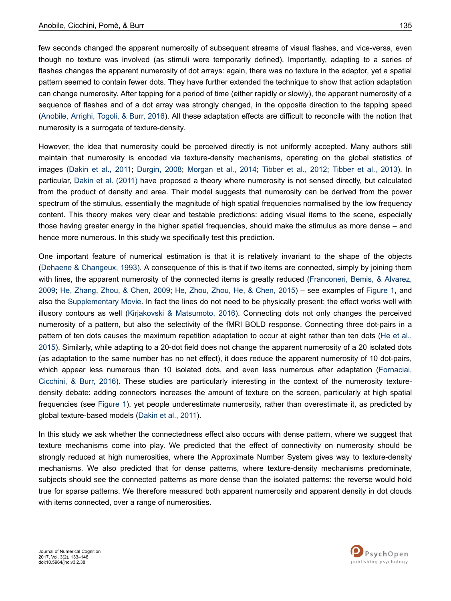few seconds changed the apparent numerosity of subsequent streams of visual flashes, and vice-versa, even though no texture was involved (as stimuli were temporarily defined). Importantly, adapting to a series of flashes changes the apparent numerosity of dot arrays: again, there was no texture in the adaptor, yet a spatial pattern seemed to contain fewer dots. They have further extended the technique to show that action adaptation can change numerosity. After tapping for a period of time (either rapidly or slowly), the apparent numerosity of a sequence of flashes and of a dot array was strongly changed, in the opposite direction to the tapping speed [\(Anobile, Arrighi, Togoli, & Burr, 2016\)](#page-9-0). All these adaptation effects are difficult to reconcile with the notion that numerosity is a surrogate of texture-density.

However, the idea that numerosity could be perceived directly is not uniformly accepted. Many authors still maintain that numerosity is encoded via texture-density mechanisms, operating on the global statistics of images [\(Dakin et al., 2011;](#page-10-0) [Durgin, 2008](#page-10-0); [Morgan et al., 2014](#page-12-0); [Tibber et al., 2012](#page-13-0); [Tibber et al., 2013](#page-13-0)). In particular, [Dakin et al. \(2011\)](#page-10-0) have proposed a theory where numerosity is not sensed directly, but calculated from the product of density and area. Their model suggests that numerosity can be derived from the power spectrum of the stimulus, essentially the magnitude of high spatial frequencies normalised by the low frequency content. This theory makes very clear and testable predictions: adding visual items to the scene, especially those having greater energy in the higher spatial frequencies, should make the stimulus as more dense – and hence more numerous. In this study we specifically test this prediction.

One important feature of numerical estimation is that it is relatively invariant to the shape of the objects [\(Dehaene & Changeux, 1993](#page-10-0)). A consequence of this is that if two items are connected, simply by joining them with lines, the apparent numerosity of the connected items is greatly reduced ([Franconeri, Bemis, & Alvarez,](#page-11-0) [2009](#page-11-0); [He, Zhang, Zhou, & Chen, 2009;](#page-11-0) [He, Zhou, Zhou, He, & Chen, 2015](#page-11-0)) – see examples of [Figure 1](#page-4-0), and also the [Supplementary Movie.](#page-9-0) In fact the lines do not need to be physically present: the effect works well with illusory contours as well ([Kirjakovski & Matsumoto, 2016\)](#page-11-0). Connecting dots not only changes the perceived numerosity of a pattern, but also the selectivity of the fMRI BOLD response. Connecting three dot-pairs in a pattern of ten dots causes the maximum repetition adaptation to occur at eight rather than ten dots ([He et al.,](#page-11-0) [2015](#page-11-0)). Similarly, while adapting to a 20-dot field does not change the apparent numerosity of a 20 isolated dots (as adaptation to the same number has no net effect), it does reduce the apparent numerosity of 10 dot-pairs, which appear less numerous than 10 isolated dots, and even less numerous after adaptation [\(Fornaciai,](#page-10-0) [Cicchini, & Burr, 2016](#page-10-0)). These studies are particularly interesting in the context of the numerosity texturedensity debate: adding connectors increases the amount of texture on the screen, particularly at high spatial frequencies (see [Figure 1](#page-4-0)), yet people underestimate numerosity, rather than overestimate it, as predicted by global texture-based models ([Dakin et al., 2011\)](#page-10-0).

In this study we ask whether the connectedness effect also occurs with dense pattern, where we suggest that texture mechanisms come into play. We predicted that the effect of connectivity on numerosity should be strongly reduced at high numerosities, where the Approximate Number System gives way to texture-density mechanisms. We also predicted that for dense patterns, where texture-density mechanisms predominate, subjects should see the connected patterns as more dense than the isolated patterns: the reverse would hold true for sparse patterns. We therefore measured both apparent numerosity and apparent density in dot clouds with items connected, over a range of numerosities.

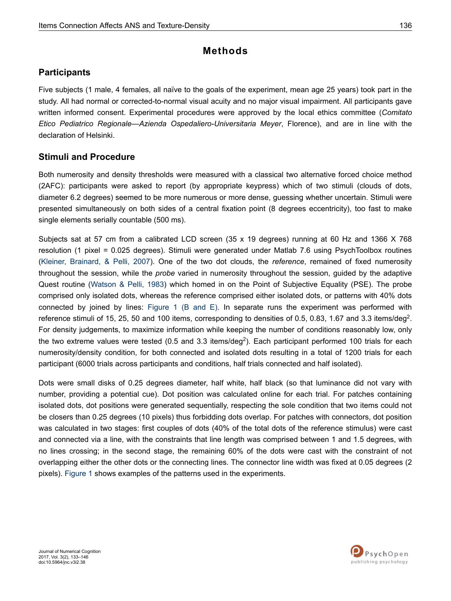# **Methods**

# **Participants**

Five subjects (1 male, 4 females, all naïve to the goals of the experiment, mean age 25 years) took part in the study. All had normal or corrected-to-normal visual acuity and no major visual impairment. All participants gave written informed consent. Experimental procedures were approved by the local ethics committee (*Comitato Etico Pediatrico Regionale—Azienda Ospedaliero-Universitaria Meyer*, Florence), and are in line with the declaration of Helsinki.

# **Stimuli and Procedure**

Both numerosity and density thresholds were measured with a classical two alternative forced choice method (2AFC): participants were asked to report (by appropriate keypress) which of two stimuli (clouds of dots, diameter 6.2 degrees) seemed to be more numerous or more dense, guessing whether uncertain. Stimuli were presented simultaneously on both sides of a central fixation point (8 degrees eccentricity), too fast to make single elements serially countable (500 ms).

Subjects sat at 57 cm from a calibrated LCD screen (35 x 19 degrees) running at 60 Hz and 1366 X 768 resolution (1 pixel = 0.025 degrees). Stimuli were generated under Matlab 7.6 using PsychToolbox routines [\(Kleiner, Brainard, & Pelli, 2007](#page-11-0)). One of the two dot clouds, the *reference*, remained of fixed numerosity throughout the session, while the *probe* varied in numerosity throughout the session, guided by the adaptive Quest routine ([Watson & Pelli, 1983\)](#page-13-0) which homed in on the Point of Subjective Equality (PSE). The probe comprised only isolated dots, whereas the reference comprised either isolated dots, or patterns with 40% dots connected by joined by lines: [Figure 1 \(B and E\)](#page-4-0). In separate runs the experiment was performed with reference stimuli of 15, 25, 50 and 100 items, corresponding to densities of 0.5, 0.83, 1.67 and 3.3 items/deg<sup>2</sup>. For density judgements, to maximize information while keeping the number of conditions reasonably low, only the two extreme values were tested (0.5 and 3.3 items/deg<sup>2</sup>). Each participant performed 100 trials for each numerosity/density condition, for both connected and isolated dots resulting in a total of 1200 trials for each participant (6000 trials across participants and conditions, half trials connected and half isolated).

Dots were small disks of 0.25 degrees diameter, half white, half black (so that luminance did not vary with number, providing a potential cue). Dot position was calculated online for each trial. For patches containing isolated dots, dot positions were generated sequentially, respecting the sole condition that two items could not be closers than 0.25 degrees (10 pixels) thus forbidding dots overlap. For patches with connectors, dot position was calculated in two stages: first couples of dots (40% of the total dots of the reference stimulus) were cast and connected via a line, with the constraints that line length was comprised between 1 and 1.5 degrees, with no lines crossing; in the second stage, the remaining 60% of the dots were cast with the constraint of not overlapping either the other dots or the connecting lines. The connector line width was fixed at 0.05 degrees (2 pixels). [Figure 1](#page-4-0) shows examples of the patterns used in the experiments.

Journal of Numerical Cognition 2017, Vol. 3(2), 133–146 doi:10.5964/jnc.v3i2.38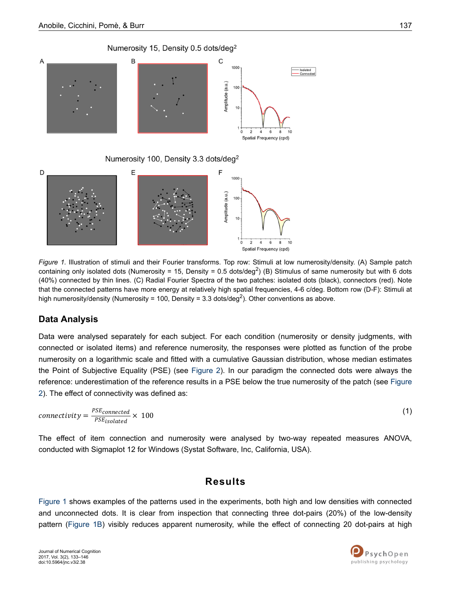

<span id="page-4-0"></span>



*Figure 1.* Illustration of stimuli and their Fourier transforms. Top row: Stimuli at low numerosity/density. (A) Sample patch containing only isolated dots (Numerosity = 15, Density = 0.5 dots/deg<sup>2</sup>) (B) Stimulus of same numerosity but with 6 dots (40%) connected by thin lines. (C) Radial Fourier Spectra of the two patches: isolated dots (black), connectors (red). Note that the connected patterns have more energy at relatively high spatial frequencies, 4-6 c/deg. Bottom row (D-F): Stimuli at high numerosity/density (Numerosity = 100, Density = 3.3 dots/deg<sup>2</sup>). Other conventions as above.

## **Data Analysis**

Data were analysed separately for each subject. For each condition (numerosity or density judgments, with connected or isolated items) and reference numerosity, the responses were plotted as function of the probe numerosity on a logarithmic scale and fitted with a cumulative Gaussian distribution, whose median estimates the Point of Subjective Equality (PSE) (see [Figure 2](#page-5-0)). In our paradigm the connected dots were always the reference: underestimation of the reference results in a PSE below the true numerosity of the patch (see [Figure](#page-5-0) [2\)](#page-5-0). The effect of connectivity was defined as:

$$
connectivity = \frac{PSE_{connected}}{PSE_{isolated}} \times 100
$$
\n(1)

The effect of item connection and numerosity were analysed by two-way repeated measures ANOVA, conducted with Sigmaplot 12 for Windows (Systat Software, Inc, California, USA).

# **Results**

Figure 1 shows examples of the patterns used in the experiments, both high and low densities with connected and unconnected dots. It is clear from inspection that connecting three dot-pairs (20%) of the low-density pattern (Figure 1B) visibly reduces apparent numerosity, while the effect of connecting 20 dot-pairs at high

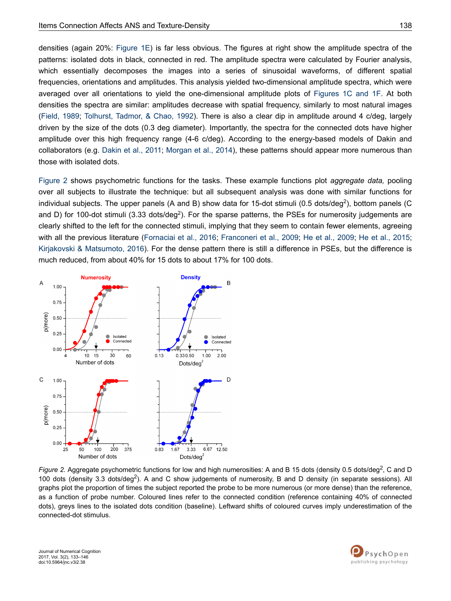<span id="page-5-0"></span>densities (again 20%: [Figure 1E](#page-4-0)) is far less obvious. The figures at right show the amplitude spectra of the patterns: isolated dots in black, connected in red. The amplitude spectra were calculated by Fourier analysis, which essentially decomposes the images into a series of sinusoidal waveforms, of different spatial frequencies, orientations and amplitudes. This analysis yielded two-dimensional amplitude spectra, which were averaged over all orientations to yield the one-dimensional amplitude plots of [Figures 1C and 1F](#page-4-0). At both densities the spectra are similar: amplitudes decrease with spatial frequency, similarly to most natural images [\(Field, 1989;](#page-10-0) [Tolhurst, Tadmor, & Chao, 1992\)](#page-13-0). There is also a clear dip in amplitude around 4 c/deg, largely driven by the size of the dots (0.3 deg diameter). Importantly, the spectra for the connected dots have higher amplitude over this high frequency range (4-6 c/deg). According to the energy-based models of Dakin and collaborators (e.g. [Dakin et al., 2011](#page-10-0); [Morgan et al., 2014](#page-12-0)), these patterns should appear more numerous than those with isolated dots.

Figure 2 shows psychometric functions for the tasks. These example functions plot *aggregate data,* pooling over all subjects to illustrate the technique: but all subsequent analysis was done with similar functions for individual subjects. The upper panels (A and B) show data for 15-dot stimuli (0.5 dots/deg<sup>2</sup>), bottom panels (C and D) for 100-dot stimuli (3.33 dots/deg<sup>2</sup>). For the sparse patterns, the PSEs for numerosity judgements are clearly shifted to the left for the connected stimuli, implying that they seem to contain fewer elements, agreeing with all the previous literature [\(Fornaciai et al., 2016;](#page-10-0) [Franconeri et al., 2009](#page-11-0); [He et al., 2009;](#page-11-0) [He et al., 2015](#page-11-0); [Kirjakovski & Matsumoto, 2016](#page-11-0)). For the dense pattern there is still a difference in PSEs, but the difference is much reduced, from about 40% for 15 dots to about 17% for 100 dots.



Figure 2. Aggregate psychometric functions for low and high numerosities: A and B 15 dots (density 0.5 dots/deg<sup>2</sup>, C and D 100 dots (density 3.3 dots/deg<sup>2</sup>). A and C show judgements of numerosity, B and D density (in separate sessions). All graphs plot the proportion of times the subject reported the probe to be more numerous (or more dense) than the reference, as a function of probe number. Coloured lines refer to the connected condition (reference containing 40% of connected dots), greys lines to the isolated dots condition (baseline). Leftward shifts of coloured curves imply underestimation of the connected-dot stimulus.

Journal of Numerical Cognition 2017, Vol. 3(2), 133–146 doi:10.5964/jnc.v3i2.38

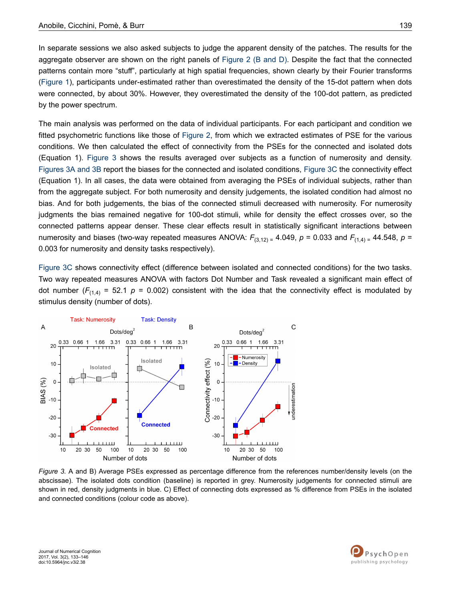In separate sessions we also asked subjects to judge the apparent density of the patches. The results for the aggregate observer are shown on the right panels of [Figure 2 \(B and D\)](#page-5-0). Despite the fact that the connected patterns contain more "stuff", particularly at high spatial frequencies, shown clearly by their Fourier transforms [\(Figure 1\)](#page-4-0), participants under-estimated rather than overestimated the density of the 15-dot pattern when dots were connected, by about 30%. However, they overestimated the density of the 100-dot pattern, as predicted by the power spectrum.

The main analysis was performed on the data of individual participants. For each participant and condition we fitted psychometric functions like those of [Figure 2,](#page-5-0) from which we extracted estimates of PSE for the various conditions. We then calculated the effect of connectivity from the PSEs for the connected and isolated dots (Equation 1). Figure 3 shows the results averaged over subjects as a function of numerosity and density. Figures 3A and 3B report the biases for the connected and isolated conditions, Figure 3C the connectivity effect (Equation 1). In all cases, the data were obtained from averaging the PSEs of individual subjects, rather than from the aggregate subject. For both numerosity and density judgements, the isolated condition had almost no bias. And for both judgements, the bias of the connected stimuli decreased with numerosity. For numerosity judgments the bias remained negative for 100-dot stimuli, while for density the effect crosses over, so the connected patterns appear denser. These clear effects result in statistically significant interactions between numerosity and biases (two-way repeated measures ANOVA:  $F_{(3,12)} = 4.049$ ,  $p = 0.033$  and  $F_{(1,4)} = 44.548$ ,  $p =$ 0.003 for numerosity and density tasks respectively).

Figure 3C shows connectivity effect (difference between isolated and connected conditions) for the two tasks. Two way repeated measures ANOVA with factors Dot Number and Task revealed a significant main effect of dot number ( $F_{(1,4)}$  = 52.1  $p$  = 0.002) consistent with the idea that the connectivity effect is modulated by stimulus density (number of dots).



*Figure 3.* A and B) Average PSEs expressed as percentage difference from the references number/density levels (on the abscissae). The isolated dots condition (baseline) is reported in grey. Numerosity judgements for connected stimuli are shown in red, density judgments in blue. C) Effect of connecting dots expressed as % difference from PSEs in the isolated and connected conditions (colour code as above).

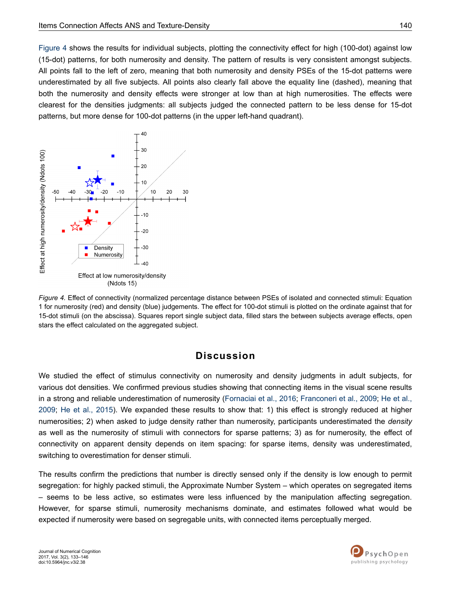Figure 4 shows the results for individual subjects, plotting the connectivity effect for high (100-dot) against low (15-dot) patterns, for both numerosity and density. The pattern of results is very consistent amongst subjects. All points fall to the left of zero, meaning that both numerosity and density PSEs of the 15-dot patterns were underestimated by all five subjects. All points also clearly fall above the equality line (dashed), meaning that both the numerosity and density effects were stronger at low than at high numerosities. The effects were clearest for the densities judgments: all subjects judged the connected pattern to be less dense for 15-dot patterns, but more dense for 100-dot patterns (in the upper left-hand quadrant).



*Figure 4.* Effect of connectivity (normalized percentage distance between PSEs of isolated and connected stimuli: Equation 1 for numerosity (red) and density (blue) judgements. The effect for 100-dot stimuli is plotted on the ordinate against that for 15-dot stimuli (on the abscissa). Squares report single subject data, filled stars the between subjects average effects, open stars the effect calculated on the aggregated subject.

## **Discussion**

We studied the effect of stimulus connectivity on numerosity and density judgments in adult subjects, for various dot densities. We confirmed previous studies showing that connecting items in the visual scene results in a strong and reliable underestimation of numerosity [\(Fornaciai et al., 2016](#page-10-0); [Franconeri et al., 2009;](#page-11-0) [He et al.,](#page-11-0) [2009](#page-11-0); [He et al., 2015](#page-11-0)). We expanded these results to show that: 1) this effect is strongly reduced at higher numerosities; 2) when asked to judge density rather than numerosity, participants underestimated the *density* as well as the numerosity of stimuli with connectors for sparse patterns; 3) as for numerosity, the effect of connectivity on apparent density depends on item spacing: for sparse items, density was underestimated, switching to overestimation for denser stimuli.

The results confirm the predictions that number is directly sensed only if the density is low enough to permit segregation: for highly packed stimuli, the Approximate Number System – which operates on segregated items – seems to be less active, so estimates were less influenced by the manipulation affecting segregation. However, for sparse stimuli, numerosity mechanisms dominate, and estimates followed what would be expected if numerosity were based on segregable units, with connected items perceptually merged.

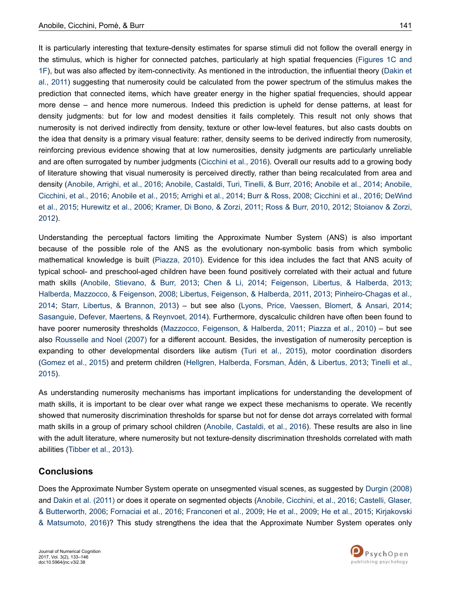It is particularly interesting that texture-density estimates for sparse stimuli did not follow the overall energy in the stimulus, which is higher for connected patches, particularly at high spatial frequencies [\(Figures 1C and](#page-4-0) [1F\)](#page-4-0), but was also affected by item-connectivity. As mentioned in the introduction, the influential theory [\(Dakin et](#page-10-0) [al., 2011](#page-10-0)) suggesting that numerosity could be calculated from the power spectrum of the stimulus makes the prediction that connected items, which have greater energy in the higher spatial frequencies, should appear more dense – and hence more numerous. Indeed this prediction is upheld for dense patterns, at least for density judgments: but for low and modest densities it fails completely. This result not only shows that numerosity is not derived indirectly from density, texture or other low-level features, but also casts doubts on the idea that density is a primary visual feature: rather, density seems to be derived indirectly from numerosity, reinforcing previous evidence showing that at low numerosities, density judgments are particularly unreliable and are often surrogated by number judgments ([Cicchini et al., 2016\)](#page-10-0). Overall our results add to a growing body of literature showing that visual numerosity is perceived directly, rather than being recalculated from area and density ([Anobile, Arrighi, et al., 2016;](#page-9-0) [Anobile, Castaldi, Turi, Tinelli, & Burr, 2016](#page-9-0); [Anobile et al., 2014](#page-9-0); [Anobile,](#page-9-0) [Cicchini, et al., 2016; Anobile et al., 2015;](#page-9-0) [Arrighi et al., 2014](#page-10-0); [Burr & Ross, 2008](#page-10-0); [Cicchini et al., 2016;](#page-10-0) [DeWind](#page-10-0) [et al., 2015](#page-10-0); [Hurewitz et al., 2006; Kramer, Di Bono, & Zorzi, 2011;](#page-11-0) [Ross & Burr, 2010](#page-12-0), [2012](#page-12-0); [Stoianov & Zorzi,](#page-13-0)

Understanding the perceptual factors limiting the Approximate Number System (ANS) is also important because of the possible role of the ANS as the evolutionary non-symbolic basis from which symbolic mathematical knowledge is built ([Piazza, 2010](#page-12-0)). Evidence for this idea includes the fact that ANS acuity of typical school- and preschool-aged children have been found positively correlated with their actual and future math skills ([Anobile, Stievano, & Burr, 2013;](#page-9-0) [Chen & Li, 2014;](#page-10-0) [Feigenson, Libertus, & Halberda, 2013](#page-10-0); [Halberda, Mazzocco, & Feigenson, 2008](#page-11-0); [Libertus, Feigenson, & Halberda, 2011, 2013;](#page-11-0) [Pinheiro-Chagas et al.,](#page-12-0) [2014](#page-12-0); [Starr, Libertus, & Brannon, 2013\)](#page-13-0) – but see also ([Lyons, Price, Vaessen, Blomert, & Ansari, 2014](#page-12-0); [Sasanguie, Defever, Maertens, & Reynvoet, 2014](#page-12-0)). Furthermore, dyscalculic children have often been found to have poorer numerosity thresholds ([Mazzocco, Feigenson, & Halberda, 2011;](#page-12-0) [Piazza et al., 2010](#page-12-0)) – but see also [Rousselle and Noel \(2007\)](#page-12-0) for a different account. Besides, the investigation of numerosity perception is expanding to other developmental disorders like autism [\(Turi et al., 2015\)](#page-13-0), motor coordination disorders [\(Gomez et al., 2015](#page-11-0)) and preterm children ([Hellgren, Halberda, Forsman, Ådén, & Libertus, 2013](#page-11-0); [Tinelli et al.,](#page-13-0) [2015](#page-13-0)).

As understanding numerosity mechanisms has important implications for understanding the development of math skills, it is important to be clear over what range we expect these mechanisms to operate. We recently showed that numerosity discrimination thresholds for sparse but not for dense dot arrays correlated with formal math skills in a group of primary school children ([Anobile, Castaldi, et al., 2016\)](#page-9-0). These results are also in line with the adult literature, where numerosity but not texture-density discrimination thresholds correlated with math abilities [\(Tibber et al., 2013\)](#page-13-0).

#### **Conclusions**

[2012](#page-13-0)).

Does the Approximate Number System operate on unsegmented visual scenes, as suggested by [Durgin \(2008\)](#page-10-0) and [Dakin et al. \(2011\)](#page-10-0) or does it operate on segmented objects [\(Anobile, Cicchini, et al., 2016;](#page-9-0) [Castelli, Glaser,](#page-10-0) [& Butterworth, 2006](#page-10-0); [Fornaciai et al., 2016](#page-10-0); [Franconeri et al., 2009;](#page-11-0) [He et al., 2009;](#page-11-0) [He et al., 2015; Kirjakovski](#page-11-0) [& Matsumoto, 2016](#page-11-0))? This study strengthens the idea that the Approximate Number System operates only

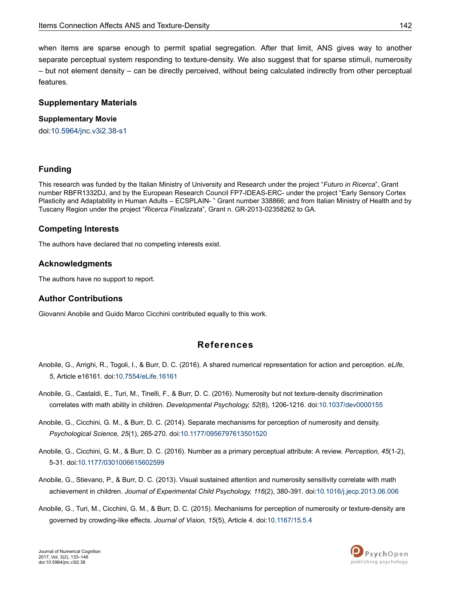<span id="page-9-0"></span>when items are sparse enough to permit spatial segregation. After that limit, ANS gives way to another separate perceptual system responding to texture-density. We also suggest that for sparse stimuli, numerosity – but not element density – can be directly perceived, without being calculated indirectly from other perceptual features.

#### **Supplementary Materials**

#### **Supplementary Movie**

doi[:10.5964/jnc.v3i2.38-s1](https://doi.org/10.5964/jnc.v3i2.38-s1)

#### **Funding**

This research was funded by the Italian Ministry of University and Research under the project "*Futuro in Ricerca*", Grant number RBFR1332DJ, and by the European Research Council FP7-IDEAS-ERC- under the project "Early Sensory Cortex Plasticity and Adaptability in Human Adults – ECSPLAIN- " Grant number 338866; and from Italian Ministry of Health and by Tuscany Region under the project "*Ricerca Finalizzata*", Grant n. GR-2013-02358262 to GA.

#### **Competing Interests**

The authors have declared that no competing interests exist.

#### **Acknowledgments**

The authors have no support to report.

#### **Author Contributions**

Giovanni Anobile and Guido Marco Cicchini contributed equally to this work.

## **References**

- Anobile, G., Arrighi, R., Togoli, I., & Burr, D. C. (2016). A shared numerical representation for action and perception. *eLife, 5*, Article e16161. doi[:10.7554/eLife.16161](http://doi.org/10.7554/eLife.16161)
- Anobile, G., Castaldi, E., Turi, M., Tinelli, F., & Burr, D. C. (2016). Numerosity but not texture-density discrimination correlates with math ability in children. *Developmental Psychology, 52*(8), 1206-1216. doi[:10.1037/dev0000155](http://doi.org/10.1037/dev0000155)
- Anobile, G., Cicchini, G. M., & Burr, D. C. (2014). Separate mechanisms for perception of numerosity and density. *Psychological Science, 25*(1), 265-270. doi[:10.1177/0956797613501520](http://doi.org/10.1177/0956797613501520)
- Anobile, G., Cicchini, G. M., & Burr, D. C. (2016). Number as a primary perceptual attribute: A review. *Perception, 45*(1-2), 5-31. doi:[10.1177/0301006615602599](http://doi.org/10.1177/0301006615602599)
- Anobile, G., Stievano, P., & Burr, D. C. (2013). Visual sustained attention and numerosity sensitivity correlate with math achievement in children. *Journal of Experimental Child Psychology, 116*(2), 380-391. doi[:10.1016/j.jecp.2013.06.006](http://doi.org/10.1016/j.jecp.2013.06.006)
- Anobile, G., Turi, M., Cicchini, G. M., & Burr, D. C. (2015). Mechanisms for perception of numerosity or texture-density are governed by crowding-like effects. *Journal of Vision, 15*(5), Article 4. doi[:10.1167/15.5.4](http://doi.org/10.1167/15.5.4)

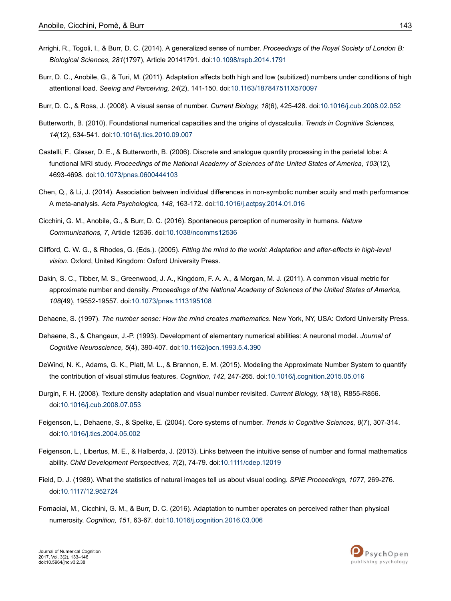- <span id="page-10-0"></span>Arrighi, R., Togoli, I., & Burr, D. C. (2014). A generalized sense of number. *Proceedings of the Royal Society of London B: Biological Sciences, 281*(1797), Article 20141791. doi:[10.1098/rspb.2014.1791](http://doi.org/10.1098/rspb.2014.1791)
- Burr, D. C., Anobile, G., & Turi, M. (2011). Adaptation affects both high and low (subitized) numbers under conditions of high attentional load. *Seeing and Perceiving, 24*(2), 141-150. doi:[10.1163/187847511X570097](http://doi.org/10.1163/187847511X570097)
- Burr, D. C., & Ross, J. (2008). A visual sense of number. *Current Biology, 18*(6), 425-428. doi[:10.1016/j.cub.2008.02.052](http://doi.org/10.1016/j.cub.2008.02.052)
- Butterworth, B. (2010). Foundational numerical capacities and the origins of dyscalculia. *Trends in Cognitive Sciences, 14*(12), 534-541. doi:[10.1016/j.tics.2010.09.007](http://doi.org/10.1016/j.tics.2010.09.007)
- Castelli, F., Glaser, D. E., & Butterworth, B. (2006). Discrete and analogue quantity processing in the parietal lobe: A functional MRI study. *Proceedings of the National Academy of Sciences of the United States of America, 103*(12), 4693-4698. doi:[10.1073/pnas.0600444103](http://doi.org/10.1073/pnas.0600444103)
- Chen, Q., & Li, J. (2014). Association between individual differences in non-symbolic number acuity and math performance: A meta-analysis. *Acta Psychologica, 148*, 163-172. doi[:10.1016/j.actpsy.2014.01.016](http://doi.org/10.1016/j.actpsy.2014.01.016)
- Cicchini, G. M., Anobile, G., & Burr, D. C. (2016). Spontaneous perception of numerosity in humans. *Nature Communications, 7*, Article 12536. doi[:10.1038/ncomms12536](http://doi.org/10.1038/ncomms12536)
- Clifford, C. W. G., & Rhodes, G. (Eds.). (2005). *Fitting the mind to the world: Adaptation and after-effects in high-level vision.* Oxford, United Kingdom: Oxford University Press.
- Dakin, S. C., Tibber, M. S., Greenwood, J. A., Kingdom, F. A. A., & Morgan, M. J. (2011). A common visual metric for approximate number and density. *Proceedings of the National Academy of Sciences of the United States of America, 108*(49), 19552-19557. doi:[10.1073/pnas.1113195108](http://doi.org/10.1073/pnas.1113195108)
- Dehaene, S. (1997). *The number sense: How the mind creates mathematics*. New York, NY, USA: Oxford University Press.
- Dehaene, S., & Changeux, J.-P. (1993). Development of elementary numerical abilities: A neuronal model. *Journal of Cognitive Neuroscience, 5*(4), 390-407. doi:[10.1162/jocn.1993.5.4.390](http://doi.org/10.1162/jocn.1993.5.4.390)
- DeWind, N. K., Adams, G. K., Platt, M. L., & Brannon, E. M. (2015). Modeling the Approximate Number System to quantify the contribution of visual stimulus features. *Cognition, 142*, 247-265. doi[:10.1016/j.cognition.2015.05.016](http://doi.org/10.1016/j.cognition.2015.05.016)
- Durgin, F. H. (2008). Texture density adaptation and visual number revisited. *Current Biology, 18*(18), R855-R856. doi:[10.1016/j.cub.2008.07.053](http://doi.org/10.1016/j.cub.2008.07.053)
- Feigenson, L., Dehaene, S., & Spelke, E. (2004). Core systems of number. *Trends in Cognitive Sciences, 8*(7), 307-314. doi:[10.1016/j.tics.2004.05.002](http://doi.org/10.1016/j.tics.2004.05.002)
- Feigenson, L., Libertus, M. E., & Halberda, J. (2013). Links between the intuitive sense of number and formal mathematics ability. *Child Development Perspectives, 7*(2), 74-79. doi[:10.1111/cdep.12019](http://doi.org/10.1111/cdep.12019)
- Field, D. J. (1989). What the statistics of natural images tell us about visual coding. *SPIE Proceedings, 1077*, 269-276. doi:[10.1117/12.952724](http://doi.org/10.1117/12.952724)
- Fornaciai, M., Cicchini, G. M., & Burr, D. C. (2016). Adaptation to number operates on perceived rather than physical numerosity. *Cognition, 151*, 63-67. doi[:10.1016/j.cognition.2016.03.006](http://doi.org/10.1016/j.cognition.2016.03.006)

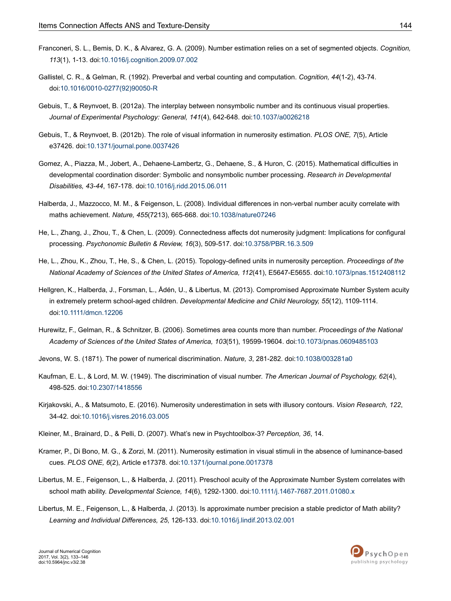- <span id="page-11-0"></span>Franconeri, S. L., Bemis, D. K., & Alvarez, G. A. (2009). Number estimation relies on a set of segmented objects. *Cognition, 113*(1), 1-13. doi[:10.1016/j.cognition.2009.07.002](http://doi.org/10.1016/j.cognition.2009.07.002)
- Gallistel, C. R., & Gelman, R. (1992). Preverbal and verbal counting and computation. *Cognition, 44*(1-2), 43-74. doi:10.1016/0010-0277(92)90050-R
- Gebuis, T., & Reynvoet, B. (2012a). The interplay between nonsymbolic number and its continuous visual properties. *Journal of Experimental Psychology: General, 141*(4), 642-648. doi:[10.1037/a0026218](http://doi.org/10.1037/a0026218)
- Gebuis, T., & Reynvoet, B. (2012b). The role of visual information in numerosity estimation. *PLOS ONE, 7*(5), Article e37426. doi:[10.1371/journal.pone.0037426](http://doi.org/10.1371/journal.pone.0037426)
- Gomez, A., Piazza, M., Jobert, A., Dehaene-Lambertz, G., Dehaene, S., & Huron, C. (2015). Mathematical difficulties in developmental coordination disorder: Symbolic and nonsymbolic number processing. *Research in Developmental Disabilities, 43-44*, 167-178. doi:[10.1016/j.ridd.2015.06.011](http://doi.org/10.1016/j.ridd.2015.06.011)
- Halberda, J., Mazzocco, M. M., & Feigenson, L. (2008). Individual differences in non-verbal number acuity correlate with maths achievement. *Nature, 455*(7213), 665-668. doi:[10.1038/nature07246](http://doi.org/10.1038/nature07246)
- He, L., Zhang, J., Zhou, T., & Chen, L. (2009). Connectedness affects dot numerosity judgment: Implications for configural processing. *Psychonomic Bulletin & Review, 16*(3), 509-517. doi:[10.3758/PBR.16.3.509](http://doi.org/10.3758/PBR.16.3.509)
- He, L., Zhou, K., Zhou, T., He, S., & Chen, L. (2015). Topology-defined units in numerosity perception. *Proceedings of the National Academy of Sciences of the United States of America, 112*(41), E5647-E5655. doi[:10.1073/pnas.1512408112](http://doi.org/10.1073/pnas.1512408112)
- Hellgren, K., Halberda, J., Forsman, L., Ådén, U., & Libertus, M. (2013). Compromised Approximate Number System acuity in extremely preterm school-aged children. *Developmental Medicine and Child Neurology, 55*(12), 1109-1114. doi:[10.1111/dmcn.12206](http://doi.org/10.1111/dmcn.12206)
- Hurewitz, F., Gelman, R., & Schnitzer, B. (2006). Sometimes area counts more than number. *Proceedings of the National Academy of Sciences of the United States of America, 103*(51), 19599-19604. doi[:10.1073/pnas.0609485103](http://doi.org/10.1073/pnas.0609485103)
- Jevons, W. S. (1871). The power of numerical discrimination. *Nature, 3*, 281-282. doi:[10.1038/003281a0](http://doi.org/10.1038/003281a0)
- Kaufman, E. L., & Lord, M. W. (1949). The discrimination of visual number. *The American Journal of Psychology, 62*(4), 498-525. doi:[10.2307/1418556](http://doi.org/10.2307/1418556)
- Kirjakovski, A., & Matsumoto, E. (2016). Numerosity underestimation in sets with illusory contours. *Vision Research, 122*, 34-42. doi:[10.1016/j.visres.2016.03.005](http://doi.org/10.1016/j.visres.2016.03.005)
- Kleiner, M., Brainard, D., & Pelli, D. (2007). What's new in Psychtoolbox-3? *Perception, 36*, 14.
- Kramer, P., Di Bono, M. G., & Zorzi, M. (2011). Numerosity estimation in visual stimuli in the absence of luminance-based cues. *PLOS ONE, 6*(2), Article e17378. doi[:10.1371/journal.pone.0017378](http://doi.org/10.1371/journal.pone.0017378)
- Libertus, M. E., Feigenson, L., & Halberda, J. (2011). Preschool acuity of the Approximate Number System correlates with school math ability. *Developmental Science, 14*(6), 1292-1300. doi:[10.1111/j.1467-7687.2011.01080.x](http://doi.org/10.1111/j.1467-7687.2011.01080.x)
- Libertus, M. E., Feigenson, L., & Halberda, J. (2013). Is approximate number precision a stable predictor of Math ability? *Learning and Individual Differences, 25*, 126-133. doi:[10.1016/j.lindif.2013.02.001](http://doi.org/10.1016/j.lindif.2013.02.001)

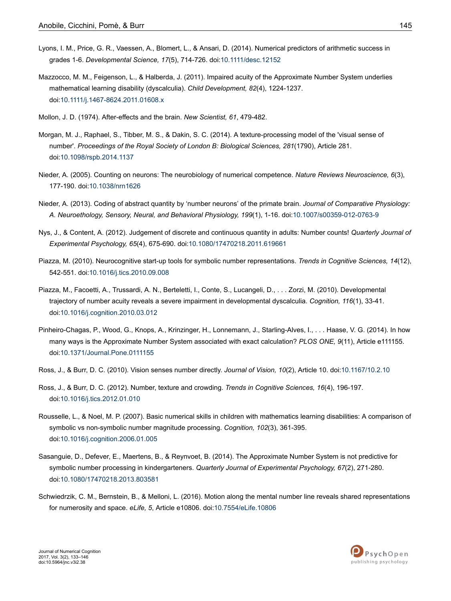- <span id="page-12-0"></span>Lyons, I. M., Price, G. R., Vaessen, A., Blomert, L., & Ansari, D. (2014). Numerical predictors of arithmetic success in grades 1-6. *Developmental Science, 17*(5), 714-726. doi[:10.1111/desc.12152](http://doi.org/10.1111/desc.12152)
- Mazzocco, M. M., Feigenson, L., & Halberda, J. (2011). Impaired acuity of the Approximate Number System underlies mathematical learning disability (dyscalculia). *Child Development, 82*(4), 1224-1237. doi:[10.1111/j.1467-8624.2011.01608.x](http://doi.org/10.1111/j.1467-8624.2011.01608.x)
- Mollon, J. D. (1974). After-effects and the brain. *New Scientist, 61*, 479-482.
- Morgan, M. J., Raphael, S., Tibber, M. S., & Dakin, S. C. (2014). A texture-processing model of the 'visual sense of number'. *Proceedings of the Royal Society of London B: Biological Sciences, 281*(1790), Article 281. doi:[10.1098/rspb.2014.1137](http://doi.org/10.1098/rspb.2014.1137)
- Nieder, A. (2005). Counting on neurons: The neurobiology of numerical competence. *Nature Reviews Neuroscience, 6*(3), 177-190. doi:[10.1038/nrn1626](http://doi.org/10.1038/nrn1626)
- Nieder, A. (2013). Coding of abstract quantity by 'number neurons' of the primate brain. *Journal of Comparative Physiology: A. Neuroethology, Sensory, Neural, and Behavioral Physiology, 199*(1), 1-16. doi:[10.1007/s00359-012-0763-9](http://doi.org/10.1007/s00359-012-0763-9)
- Nys, J., & Content, A. (2012). Judgement of discrete and continuous quantity in adults: Number counts! *Quarterly Journal of Experimental Psychology, 65*(4), 675-690. doi[:10.1080/17470218.2011.619661](http://doi.org/10.1080/17470218.2011.619661)
- Piazza, M. (2010). Neurocognitive start-up tools for symbolic number representations. *Trends in Cognitive Sciences, 14*(12), 542-551. doi:[10.1016/j.tics.2010.09.008](http://doi.org/10.1016/j.tics.2010.09.008)
- Piazza, M., Facoetti, A., Trussardi, A. N., Berteletti, I., Conte, S., Lucangeli, D., . . . Zorzi, M. (2010). Developmental trajectory of number acuity reveals a severe impairment in developmental dyscalculia. *Cognition, 116*(1), 33-41. doi:[10.1016/j.cognition.2010.03.012](http://doi.org/10.1016/j.cognition.2010.03.012)
- Pinheiro-Chagas, P., Wood, G., Knops, A., Krinzinger, H., Lonnemann, J., Starling-Alves, I., . . . Haase, V. G. (2014). In how many ways is the Approximate Number System associated with exact calculation? *PLOS ONE, 9*(11), Article e111155. doi:[10.1371/Journal.Pone.0111155](http://doi.org/10.1371/Journal.Pone.0111155)
- Ross, J., & Burr, D. C. (2010). Vision senses number directly. *Journal of Vision, 10*(2), Article 10. doi:[10.1167/10.2.10](http://doi.org/10.1167/10.2.10)
- Ross, J., & Burr, D. C. (2012). Number, texture and crowding. *Trends in Cognitive Sciences, 16*(4), 196-197. doi:[10.1016/j.tics.2012.01.010](http://doi.org/10.1016/j.tics.2012.01.010)
- Rousselle, L., & Noel, M. P. (2007). Basic numerical skills in children with mathematics learning disabilities: A comparison of symbolic vs non-symbolic number magnitude processing. *Cognition, 102*(3), 361-395. doi:[10.1016/j.cognition.2006.01.005](http://doi.org/10.1016/j.cognition.2006.01.005)
- Sasanguie, D., Defever, E., Maertens, B., & Reynvoet, B. (2014). The Approximate Number System is not predictive for symbolic number processing in kindergarteners. *Quarterly Journal of Experimental Psychology, 67*(2), 271-280. doi:[10.1080/17470218.2013.803581](http://doi.org/10.1080/17470218.2013.803581)
- Schwiedrzik, C. M., Bernstein, B., & Melloni, L. (2016). Motion along the mental number line reveals shared representations for numerosity and space. *eLife, 5*, Article e10806. doi:[10.7554/eLife.10806](http://doi.org/10.7554/eLife.10806)